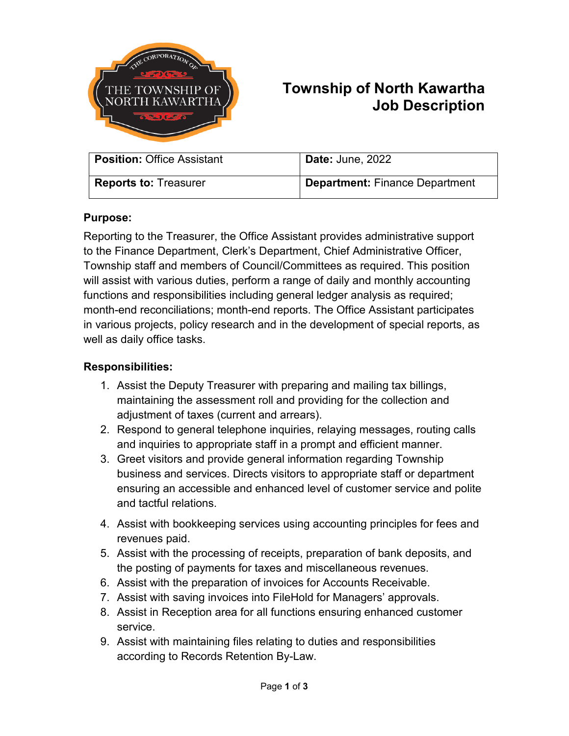

# **Township of North Kawartha Job Description**

| <b>Position: Office Assistant</b> | <b>Date: June, 2022</b>               |
|-----------------------------------|---------------------------------------|
| <b>Reports to: Treasurer</b>      | <b>Department: Finance Department</b> |

## **Purpose:**

Reporting to the Treasurer, the Office Assistant provides administrative support to the Finance Department, Clerk's Department, Chief Administrative Officer, Township staff and members of Council/Committees as required. This position will assist with various duties, perform a range of daily and monthly accounting functions and responsibilities including general ledger analysis as required; month-end reconciliations; month-end reports. The Office Assistant participates in various projects, policy research and in the development of special reports, as well as daily office tasks.

#### **Responsibilities:**

- 1. Assist the Deputy Treasurer with preparing and mailing tax billings, maintaining the assessment roll and providing for the collection and adjustment of taxes (current and arrears).
- 2. Respond to general telephone inquiries, relaying messages, routing calls and inquiries to appropriate staff in a prompt and efficient manner.
- 3. Greet visitors and provide general information regarding Township business and services. Directs visitors to appropriate staff or department ensuring an accessible and enhanced level of customer service and polite and tactful relations.
- 4. Assist with bookkeeping services using accounting principles for fees and revenues paid.
- 5. Assist with the processing of receipts, preparation of bank deposits, and the posting of payments for taxes and miscellaneous revenues.
- 6. Assist with the preparation of invoices for Accounts Receivable.
- 7. Assist with saving invoices into FileHold for Managers' approvals.
- 8. Assist in Reception area for all functions ensuring enhanced customer service.
- 9. Assist with maintaining files relating to duties and responsibilities according to Records Retention By-Law.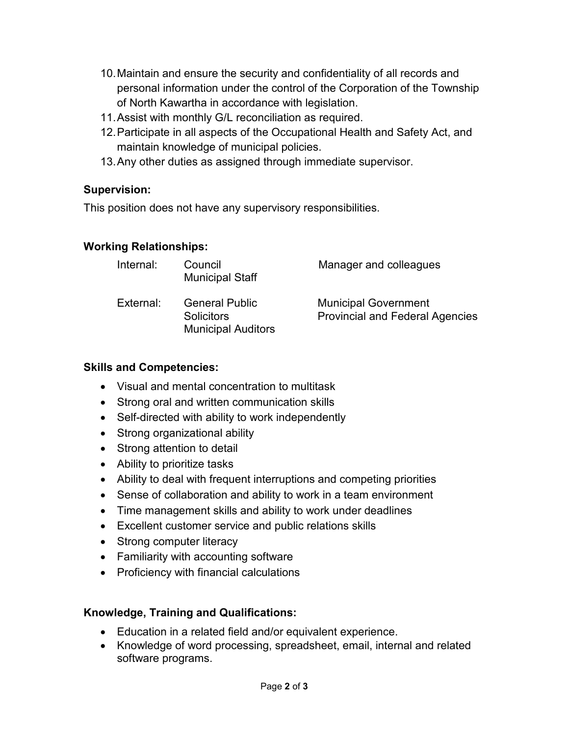- 10.Maintain and ensure the security and confidentiality of all records and personal information under the control of the Corporation of the Township of North Kawartha in accordance with legislation.
- 11.Assist with monthly G/L reconciliation as required.
- 12.Participate in all aspects of the Occupational Health and Safety Act, and maintain knowledge of municipal policies.
- 13.Any other duties as assigned through immediate supervisor.

# **Supervision:**

This position does not have any supervisory responsibilities.

## **Working Relationships:**

| Internal: | Council<br><b>Municipal Staff</b>                                       | Manager and colleagues                                                |
|-----------|-------------------------------------------------------------------------|-----------------------------------------------------------------------|
| External: | <b>General Public</b><br><b>Solicitors</b><br><b>Municipal Auditors</b> | <b>Municipal Government</b><br><b>Provincial and Federal Agencies</b> |

## **Skills and Competencies:**

- Visual and mental concentration to multitask
- Strong oral and written communication skills
- Self-directed with ability to work independently
- Strong organizational ability
- Strong attention to detail
- Ability to prioritize tasks
- Ability to deal with frequent interruptions and competing priorities
- Sense of collaboration and ability to work in a team environment
- Time management skills and ability to work under deadlines
- Excellent customer service and public relations skills
- Strong computer literacy
- Familiarity with accounting software
- Proficiency with financial calculations

#### **Knowledge, Training and Qualifications:**

- Education in a related field and/or equivalent experience.
- Knowledge of word processing, spreadsheet, email, internal and related software programs.